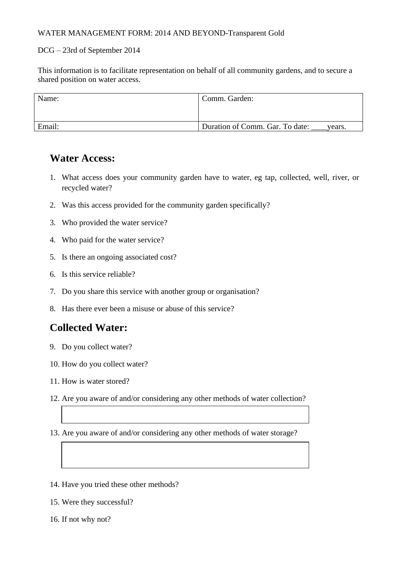#### WATER MANAGEMENT FORM: 2014 AND BEYOND-Transparent Gold

### DCG – 23rd of September 2014

This information is to facilitate representation on behalf of all community gardens, and to secure a shared position on water access.

| Name:  | Comm. Garden:                             |
|--------|-------------------------------------------|
| Email: | Duration of Comm. Gar. To date:<br>years. |

### **Water Access:**

- 1. What access does your community garden have to water, eg tap, collected, well, river, or recycled water?
- 2. Was this access provided for the community garden specifically?
- 3. Who provided the water service?
- 4. Who paid for the water service?
- 5. Is there an ongoing associated cost?
- 6. Is this service reliable?
- 7. Do you share this service with another group or organisation?
- 8. Has there ever been a misuse or abuse of this service?

## **Collected Water:**

- 9. Do you collect water?
- 10. How do you collect water?
- 11. How is water stored?
- 12. Are you aware of and/or considering any other methods of water collection?
- 13. Are you aware of and/or considering any other methods of water storage?
- 14. Have you tried these other methods?
- 15. Were they successful?
- 16. If not why not?